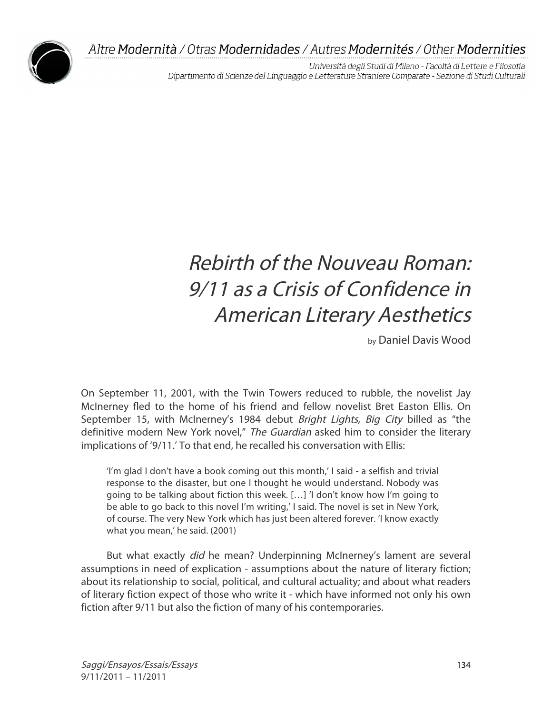

Università degli Studi di Milano - Facoltà di Lettere e Filosofia Dipartimento di Scienze del Linguaggio e Letterature Straniere Comparate - Sezione di Studi Culturali

# Rebirth of the Nouveau Roman: 9/11 as a Crisis of Confidence in American Literary Aesthetics

by Daniel Davis Wood

On September 11, 2001, with the Twin Towers reduced to rubble, the novelist Jay McInerney fled to the home of his friend and fellow novelist Bret Easton Ellis. On September 15, with McInerney's 1984 debut Bright Lights, Big City billed as "the definitive modern New York novel," The Guardian asked him to consider the literary implications of '9/11.' To that end, he recalled his conversation with Ellis:

'I'm glad I don't have a book coming out this month,' I said - a selfish and trivial response to the disaster, but one I thought he would understand. Nobody was going to be talking about fiction this week. […] 'I don't know how I'm going to be able to go back to this novel I'm writing,' I said. The novel is set in New York, of course. The very New York which has just been altered forever. 'I know exactly what you mean,' he said. (2001)

But what exactly *did* he mean? Underpinning McInerney's lament are several assumptions in need of explication - assumptions about the nature of literary fiction; about its relationship to social, political, and cultural actuality; and about what readers of literary fiction expect of those who write it - which have informed not only his own fiction after 9/11 but also the fiction of many of his contemporaries.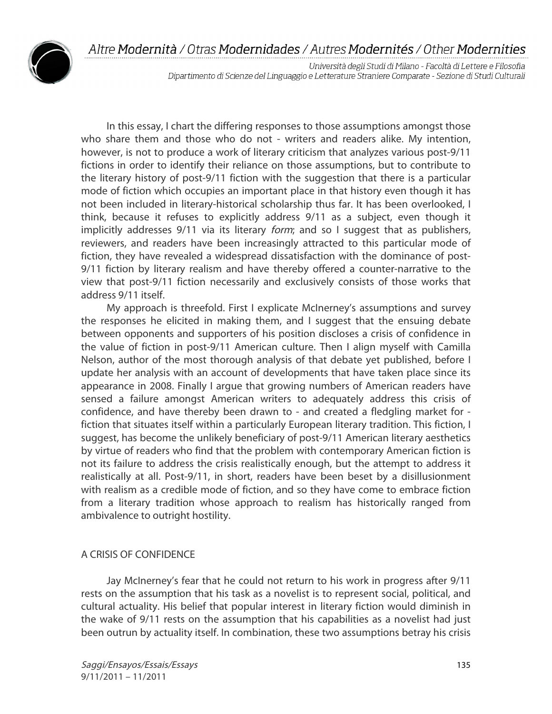

Università degli Studi di Milano - Facoltà di Lettere e Filosofia Dipartimento di Scienze del Linguaggio e Letterature Straniere Comparate - Sezione di Studi Culturali

In this essay, I chart the differing responses to those assumptions amongst those who share them and those who do not - writers and readers alike. My intention, however, is not to produce a work of literary criticism that analyzes various post-9/11 fictions in order to identify their reliance on those assumptions, but to contribute to the literary history of post-9/11 fiction with the suggestion that there is a particular mode of fiction which occupies an important place in that history even though it has not been included in literary-historical scholarship thus far. It has been overlooked, I think, because it refuses to explicitly address 9/11 as a subject, even though it implicitly addresses 9/11 via its literary form; and so I suggest that as publishers, reviewers, and readers have been increasingly attracted to this particular mode of fiction, they have revealed a widespread dissatisfaction with the dominance of post-9/11 fiction by literary realism and have thereby offered a counter-narrative to the view that post-9/11 fiction necessarily and exclusively consists of those works that address 9/11 itself.

My approach is threefold. First I explicate McInerney's assumptions and survey the responses he elicited in making them, and I suggest that the ensuing debate between opponents and supporters of his position discloses a crisis of confidence in the value of fiction in post-9/11 American culture. Then I align myself with Camilla Nelson, author of the most thorough analysis of that debate yet published, before I update her analysis with an account of developments that have taken place since its appearance in 2008. Finally I argue that growing numbers of American readers have sensed a failure amongst American writers to adequately address this crisis of confidence, and have thereby been drawn to - and created a fledgling market for fiction that situates itself within a particularly European literary tradition. This fiction, I suggest, has become the unlikely beneficiary of post-9/11 American literary aesthetics by virtue of readers who find that the problem with contemporary American fiction is not its failure to address the crisis realistically enough, but the attempt to address it realistically at all. Post-9/11, in short, readers have been beset by a disillusionment with realism as a credible mode of fiction, and so they have come to embrace fiction from a literary tradition whose approach to realism has historically ranged from ambivalence to outright hostility.

## A CRISIS OF CONFIDENCE

Jay McInerney's fear that he could not return to his work in progress after 9/11 rests on the assumption that his task as a novelist is to represent social, political, and cultural actuality. His belief that popular interest in literary fiction would diminish in the wake of 9/11 rests on the assumption that his capabilities as a novelist had just been outrun by actuality itself. In combination, these two assumptions betray his crisis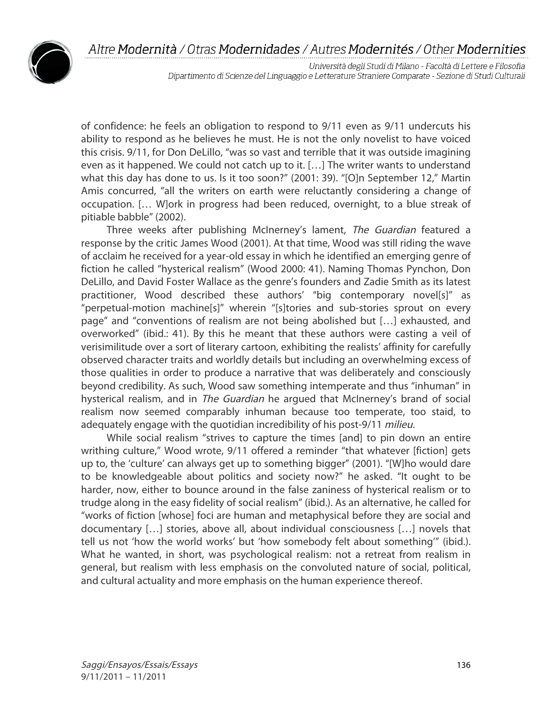

Università degli Studi di Milano - Facoltà di Lettere e Filosofia Dipartimento di Scienze del Linguaggio e Letterature Straniere Comparate - Sezione di Studi Culturali

of confidence: he feels an obligation to respond to 9/11 even as 9/11 undercuts his ability to respond as he believes he must. He is not the only novelist to have voiced this crisis. 9/11, for Don DeLillo, "was so vast and terrible that it was outside imagining even as it happened. We could not catch up to it. […] The writer wants to understand what this day has done to us. Is it too soon?" (2001: 39). "[O]n September 12," Martin Amis concurred, "all the writers on earth were reluctantly considering a change of occupation. [… W]ork in progress had been reduced, overnight, to a blue streak of pitiable babble" (2002).

Three weeks after publishing McInerney's lament, The Guardian featured a response by the critic James Wood (2001). At that time, Wood was still riding the wave of acclaim he received for a year-old essay in which he identified an emerging genre of fiction he called "hysterical realism" (Wood 2000: 41). Naming Thomas Pynchon, Don DeLillo, and David Foster Wallace as the genre's founders and Zadie Smith as its latest practitioner, Wood described these authors' "big contemporary novel[s]" as "perpetual-motion machine[s]" wherein "[s]tories and sub-stories sprout on every page" and "conventions of realism are not being abolished but […] exhausted, and overworked" (ibid.: 41). By this he meant that these authors were casting a veil of verisimilitude over a sort of literary cartoon, exhibiting the realists' affinity for carefully observed character traits and worldly details but including an overwhelming excess of those qualities in order to produce a narrative that was deliberately and consciously beyond credibility. As such, Wood saw something intemperate and thus "inhuman" in hysterical realism, and in *The Guardian* he argued that McInerney's brand of social realism now seemed comparably inhuman because too temperate, too staid, to adequately engage with the quotidian incredibility of his post-9/11 milieu.

While social realism "strives to capture the times [and] to pin down an entire writhing culture," Wood wrote, 9/11 offered a reminder "that whatever [fiction] gets up to, the 'culture' can always get up to something bigger" (2001). "[W]ho would dare to be knowledgeable about politics and society now?" he asked. "It ought to be harder, now, either to bounce around in the false zaniness of hysterical realism or to trudge along in the easy fidelity of social realism" (ibid.). As an alternative, he called for "works of fiction [whose] foci are human and metaphysical before they are social and documentary […] stories, above all, about individual consciousness […] novels that tell us not 'how the world works' but 'how somebody felt about something'" (ibid.). What he wanted, in short, was psychological realism: not a retreat from realism in general, but realism with less emphasis on the convoluted nature of social, political, and cultural actuality and more emphasis on the human experience thereof.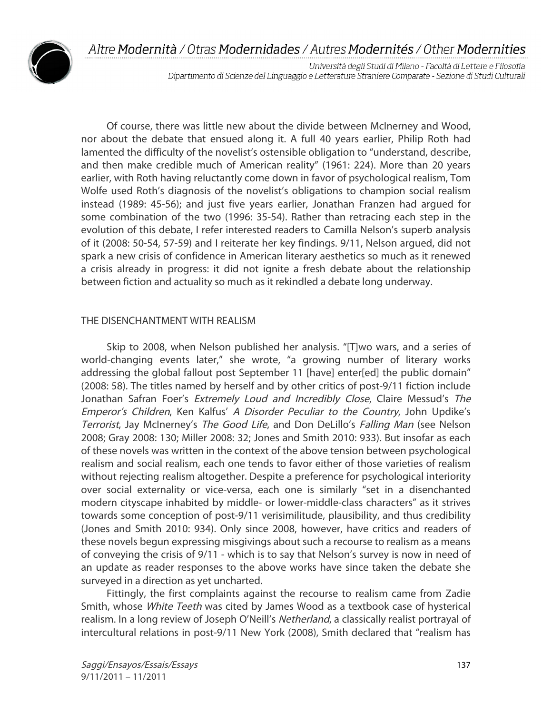

Università degli Studi di Milano - Facoltà di Lettere e Filosofia Dipartimento di Scienze del Linguaggio e Letterature Straniere Comparate - Sezione di Studi Culturali

Of course, there was little new about the divide between McInerney and Wood, nor about the debate that ensued along it. A full 40 years earlier, Philip Roth had lamented the difficulty of the novelist's ostensible obligation to "understand, describe, and then make credible much of American reality" (1961: 224). More than 20 years earlier, with Roth having reluctantly come down in favor of psychological realism, Tom Wolfe used Roth's diagnosis of the novelist's obligations to champion social realism instead (1989: 45-56); and just five years earlier, Jonathan Franzen had argued for some combination of the two (1996: 35-54). Rather than retracing each step in the evolution of this debate, I refer interested readers to Camilla Nelson's superb analysis of it (2008: 50-54, 57-59) and I reiterate her key findings. 9/11, Nelson argued, did not spark a new crisis of confidence in American literary aesthetics so much as it renewed a crisis already in progress: it did not ignite a fresh debate about the relationship between fiction and actuality so much as it rekindled a debate long underway.

## THE DISENCHANTMENT WITH REALISM

Skip to 2008, when Nelson published her analysis. "[T]wo wars, and a series of world-changing events later," she wrote, "a growing number of literary works addressing the global fallout post September 11 [have] enter[ed] the public domain" (2008: 58). The titles named by herself and by other critics of post-9/11 fiction include Jonathan Safran Foer's *Extremely Loud and Incredibly Close*, Claire Messud's The Emperor's Children, Ken Kalfus' A Disorder Peculiar to the Country, John Updike's Terrorist, Jay McInerney's The Good Life, and Don DeLillo's Falling Man (see Nelson 2008; Gray 2008: 130; Miller 2008: 32; Jones and Smith 2010: 933). But insofar as each of these novels was written in the context of the above tension between psychological realism and social realism, each one tends to favor either of those varieties of realism without rejecting realism altogether. Despite a preference for psychological interiority over social externality or vice-versa, each one is similarly "set in a disenchanted modern cityscape inhabited by middle- or lower-middle-class characters" as it strives towards some conception of post-9/11 verisimilitude, plausibility, and thus credibility (Jones and Smith 2010: 934). Only since 2008, however, have critics and readers of these novels begun expressing misgivings about such a recourse to realism as a means of conveying the crisis of 9/11 - which is to say that Nelson's survey is now in need of an update as reader responses to the above works have since taken the debate she surveyed in a direction as yet uncharted.

Fittingly, the first complaints against the recourse to realism came from Zadie Smith, whose White Teeth was cited by James Wood as a textbook case of hysterical realism. In a long review of Joseph O'Neill's Netherland, a classically realist portrayal of intercultural relations in post-9/11 New York (2008), Smith declared that "realism has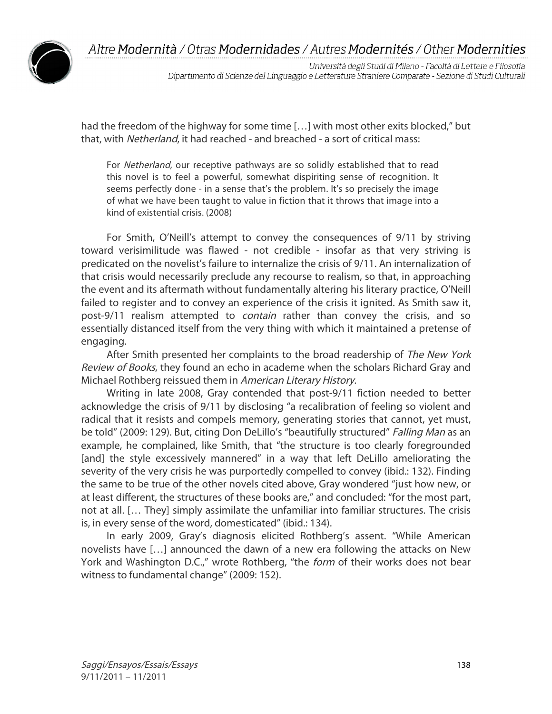

Università degli Studi di Milano - Facoltà di Lettere e Filosofia Dipartimento di Scienze del Linguaggio e Letterature Straniere Comparate - Sezione di Studi Culturali

had the freedom of the highway for some time […] with most other exits blocked," but that, with *Netherland*, it had reached - and breached - a sort of critical mass:

For Netherland, our receptive pathways are so solidly established that to read this novel is to feel a powerful, somewhat dispiriting sense of recognition. It seems perfectly done - in a sense that's the problem. It's so precisely the image of what we have been taught to value in fiction that it throws that image into a kind of existential crisis. (2008)

For Smith, O'Neill's attempt to convey the consequences of 9/11 by striving toward verisimilitude was flawed - not credible - insofar as that very striving is predicated on the novelist's failure to internalize the crisis of 9/11. An internalization of that crisis would necessarily preclude any recourse to realism, so that, in approaching the event and its aftermath without fundamentally altering his literary practice, O'Neill failed to register and to convey an experience of the crisis it ignited. As Smith saw it, post-9/11 realism attempted to *contain* rather than convey the crisis, and so essentially distanced itself from the very thing with which it maintained a pretense of engaging.

After Smith presented her complaints to the broad readership of The New York Review of Books, they found an echo in academe when the scholars Richard Gray and Michael Rothberg reissued them in American Literary History.

Writing in late 2008, Gray contended that post-9/11 fiction needed to better acknowledge the crisis of 9/11 by disclosing "a recalibration of feeling so violent and radical that it resists and compels memory, generating stories that cannot, yet must, be told" (2009: 129). But, citing Don DeLillo's "beautifully structured" Falling Man as an example, he complained, like Smith, that "the structure is too clearly foregrounded [and] the style excessively mannered" in a way that left DeLillo ameliorating the severity of the very crisis he was purportedly compelled to convey (ibid.: 132). Finding the same to be true of the other novels cited above, Gray wondered "just how new, or at least different, the structures of these books are," and concluded: "for the most part, not at all. [… They] simply assimilate the unfamiliar into familiar structures. The crisis is, in every sense of the word, domesticated" (ibid.: 134).

In early 2009, Gray's diagnosis elicited Rothberg's assent. "While American novelists have […] announced the dawn of a new era following the attacks on New York and Washington D.C.," wrote Rothberg, "the form of their works does not bear witness to fundamental change" (2009: 152).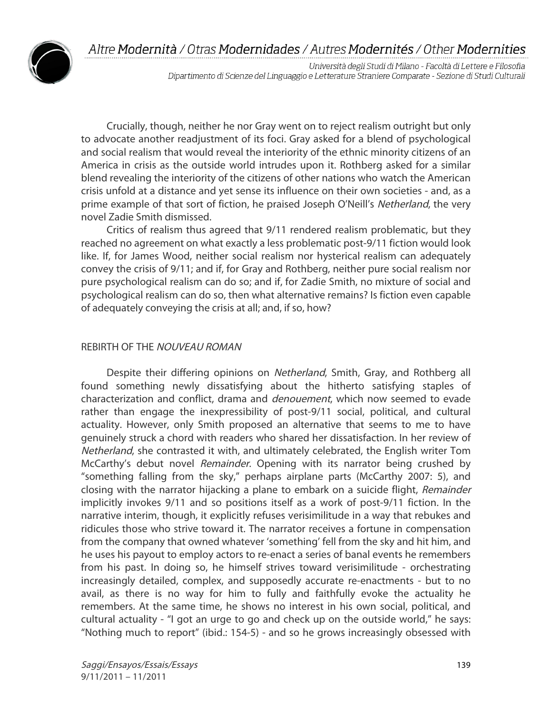

Università degli Studi di Milano - Facoltà di Lettere e Filosofia Dipartimento di Scienze del Linguaggio e Letterature Straniere Comparate - Sezione di Studi Culturali

Crucially, though, neither he nor Gray went on to reject realism outright but only to advocate another readjustment of its foci. Gray asked for a blend of psychological and social realism that would reveal the interiority of the ethnic minority citizens of an America in crisis as the outside world intrudes upon it. Rothberg asked for a similar blend revealing the interiority of the citizens of other nations who watch the American crisis unfold at a distance and yet sense its influence on their own societies - and, as a prime example of that sort of fiction, he praised Joseph O'Neill's Netherland, the very novel Zadie Smith dismissed.

Critics of realism thus agreed that 9/11 rendered realism problematic, but they reached no agreement on what exactly a less problematic post-9/11 fiction would look like. If, for James Wood, neither social realism nor hysterical realism can adequately convey the crisis of 9/11; and if, for Gray and Rothberg, neither pure social realism nor pure psychological realism can do so; and if, for Zadie Smith, no mixture of social and psychological realism can do so, then what alternative remains? Is fiction even capable of adequately conveying the crisis at all; and, if so, how?

### REBIRTH OF THE NOUVEAU ROMAN

Despite their differing opinions on Netherland, Smith, Gray, and Rothberg all found something newly dissatisfying about the hitherto satisfying staples of characterization and conflict, drama and denouement, which now seemed to evade rather than engage the inexpressibility of post-9/11 social, political, and cultural actuality. However, only Smith proposed an alternative that seems to me to have genuinely struck a chord with readers who shared her dissatisfaction. In her review of Netherland, she contrasted it with, and ultimately celebrated, the English writer Tom McCarthy's debut novel *Remainder*. Opening with its narrator being crushed by "something falling from the sky," perhaps airplane parts (McCarthy 2007: 5), and closing with the narrator hijacking a plane to embark on a suicide flight, Remainder implicitly invokes 9/11 and so positions itself as a work of post-9/11 fiction. In the narrative interim, though, it explicitly refuses verisimilitude in a way that rebukes and ridicules those who strive toward it. The narrator receives a fortune in compensation from the company that owned whatever 'something' fell from the sky and hit him, and he uses his payout to employ actors to re-enact a series of banal events he remembers from his past. In doing so, he himself strives toward verisimilitude - orchestrating increasingly detailed, complex, and supposedly accurate re-enactments - but to no avail, as there is no way for him to fully and faithfully evoke the actuality he remembers. At the same time, he shows no interest in his own social, political, and cultural actuality - "I got an urge to go and check up on the outside world," he says: "Nothing much to report" (ibid.: 154-5) - and so he grows increasingly obsessed with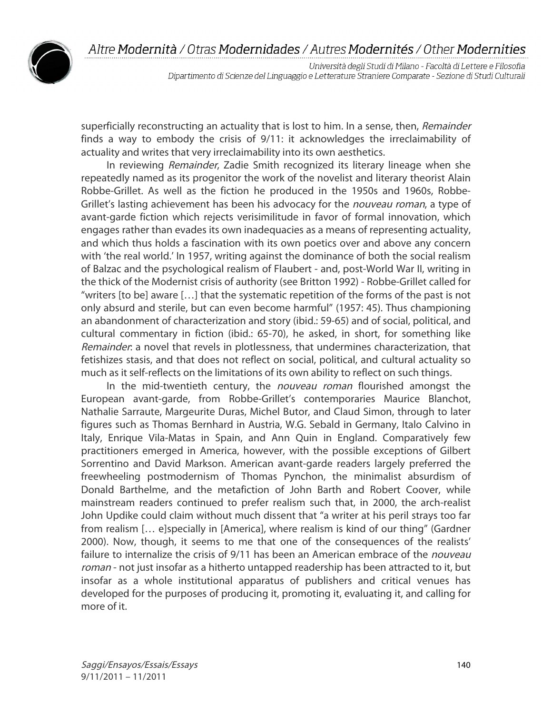

Università degli Studi di Milano - Facoltà di Lettere e Filosofia Dipartimento di Scienze del Linguaggio e Letterature Straniere Comparate - Sezione di Studi Culturali

superficially reconstructing an actuality that is lost to him. In a sense, then, Remainder finds a way to embody the crisis of 9/11: it acknowledges the irreclaimability of actuality and writes that very irreclaimability into its own aesthetics.

In reviewing *Remainder*, Zadie Smith recognized its literary lineage when she repeatedly named as its progenitor the work of the novelist and literary theorist Alain Robbe-Grillet. As well as the fiction he produced in the 1950s and 1960s, Robbe-Grillet's lasting achievement has been his advocacy for the *nouveau roman*, a type of avant-garde fiction which rejects verisimilitude in favor of formal innovation, which engages rather than evades its own inadequacies as a means of representing actuality, and which thus holds a fascination with its own poetics over and above any concern with 'the real world.' In 1957, writing against the dominance of both the social realism of Balzac and the psychological realism of Flaubert - and, post-World War II, writing in the thick of the Modernist crisis of authority (see Britton 1992) - Robbe-Grillet called for "writers [to be] aware […] that the systematic repetition of the forms of the past is not only absurd and sterile, but can even become harmful" (1957: 45). Thus championing an abandonment of characterization and story (ibid.: 59-65) and of social, political, and cultural commentary in fiction (ibid.: 65-70), he asked, in short, for something like Remainder: a novel that revels in plotlessness, that undermines characterization, that fetishizes stasis, and that does not reflect on social, political, and cultural actuality so much as it self-reflects on the limitations of its own ability to reflect on such things.

In the mid-twentieth century, the *nouveau roman* flourished amongst the European avant-garde, from Robbe-Grillet's contemporaries Maurice Blanchot, Nathalie Sarraute, Margeurite Duras, Michel Butor, and Claud Simon, through to later figures such as Thomas Bernhard in Austria, W.G. Sebald in Germany, Italo Calvino in Italy, Enrique Vila-Matas in Spain, and Ann Quin in England. Comparatively few practitioners emerged in America, however, with the possible exceptions of Gilbert Sorrentino and David Markson. American avant-garde readers largely preferred the freewheeling postmodernism of Thomas Pynchon, the minimalist absurdism of Donald Barthelme, and the metafiction of John Barth and Robert Coover, while mainstream readers continued to prefer realism such that, in 2000, the arch-realist John Updike could claim without much dissent that "a writer at his peril strays too far from realism [… e]specially in [America], where realism is kind of our thing" (Gardner 2000). Now, though, it seems to me that one of the consequences of the realists' failure to internalize the crisis of 9/11 has been an American embrace of the *nouveau* roman - not just insofar as a hitherto untapped readership has been attracted to it, but insofar as a whole institutional apparatus of publishers and critical venues has developed for the purposes of producing it, promoting it, evaluating it, and calling for more of it.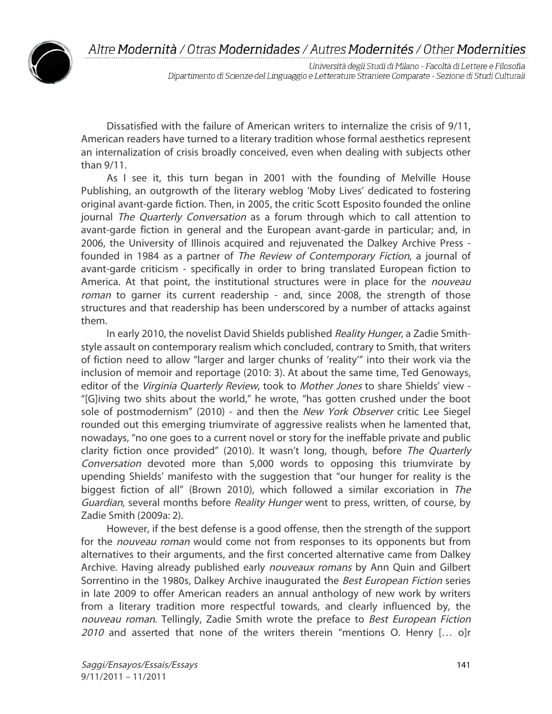

Università degli Studi di Milano - Facoltà di Lettere e Filosofia Dipartimento di Scienze del Linguaggio e Letterature Straniere Comparate - Sezione di Studi Culturali

Dissatisfied with the failure of American writers to internalize the crisis of 9/11, American readers have turned to a literary tradition whose formal aesthetics represent an internalization of crisis broadly conceived, even when dealing with subjects other than 9/11.

As I see it, this turn began in 2001 with the founding of Melville House Publishing, an outgrowth of the literary weblog 'Moby Lives' dedicated to fostering original avant-garde fiction. Then, in 2005, the critic Scott Esposito founded the online journal The Quarterly Conversation as a forum through which to call attention to avant-garde fiction in general and the European avant-garde in particular; and, in 2006, the University of Illinois acquired and rejuvenated the Dalkey Archive Press founded in 1984 as a partner of *The Review of Contemporary Fiction*, a journal of avant-garde criticism - specifically in order to bring translated European fiction to America. At that point, the institutional structures were in place for the nouveau roman to garner its current readership - and, since 2008, the strength of those structures and that readership has been underscored by a number of attacks against them.

In early 2010, the novelist David Shields published Reality Hunger, a Zadie Smithstyle assault on contemporary realism which concluded, contrary to Smith, that writers of fiction need to allow "larger and larger chunks of 'reality'" into their work via the inclusion of memoir and reportage (2010: 3). At about the same time, Ted Genoways, editor of the Virginia Quarterly Review, took to Mother Jones to share Shields' view -"[G]iving two shits about the world," he wrote, "has gotten crushed under the boot sole of postmodernism" (2010) - and then the New York Observer critic Lee Siegel rounded out this emerging triumvirate of aggressive realists when he lamented that, nowadays, "no one goes to a current novel or story for the ineffable private and public clarity fiction once provided" (2010). It wasn't long, though, before The Quarterly Conversation devoted more than 5,000 words to opposing this triumvirate by upending Shields' manifesto with the suggestion that "our hunger for reality is the biggest fiction of all" (Brown 2010), which followed a similar excoriation in The Guardian, several months before Reality Hunger went to press, written, of course, by Zadie Smith (2009a: 2).

However, if the best defense is a good offense, then the strength of the support for the *nouveau roman* would come not from responses to its opponents but from alternatives to their arguments, and the first concerted alternative came from Dalkey Archive. Having already published early nouveaux romans by Ann Quin and Gilbert Sorrentino in the 1980s, Dalkey Archive inaugurated the Best European Fiction series in late 2009 to offer American readers an annual anthology of new work by writers from a literary tradition more respectful towards, and clearly influenced by, the nouveau roman. Tellingly, Zadie Smith wrote the preface to Best European Fiction 2010 and asserted that none of the writers therein "mentions O. Henry  $[...]$  o]r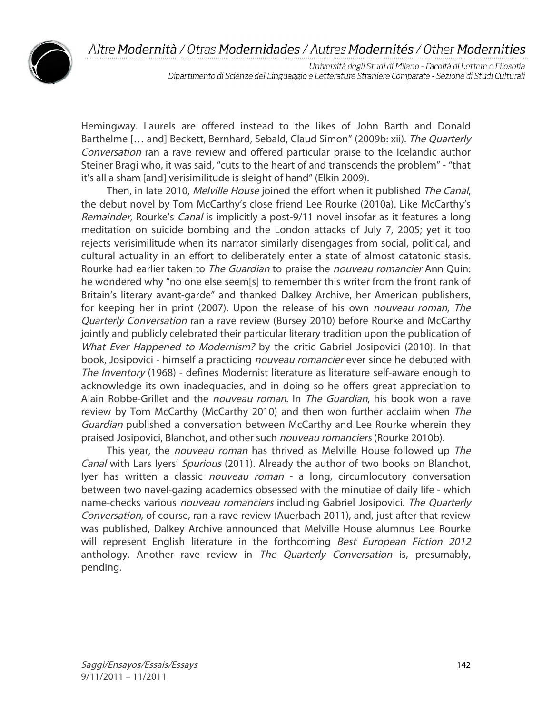

Università degli Studi di Milano - Facoltà di Lettere e Filosofia Dipartimento di Scienze del Linguaggio e Letterature Straniere Comparate - Sezione di Studi Culturali

Hemingway. Laurels are offered instead to the likes of John Barth and Donald Barthelme [... and] Beckett, Bernhard, Sebald, Claud Simon" (2009b: xii). The Quarterly Conversation ran a rave review and offered particular praise to the Icelandic author Steiner Bragi who, it was said, "cuts to the heart of and transcends the problem" - "that it's all a sham [and] verisimilitude is sleight of hand" (Elkin 2009).

Then, in late 2010, Melville House joined the effort when it published The Canal, the debut novel by Tom McCarthy's close friend Lee Rourke (2010a). Like McCarthy's Remainder, Rourke's *Canal* is implicitly a post-9/11 novel insofar as it features a long meditation on suicide bombing and the London attacks of July 7, 2005; yet it too rejects verisimilitude when its narrator similarly disengages from social, political, and cultural actuality in an effort to deliberately enter a state of almost catatonic stasis. Rourke had earlier taken to *The Guardian* to praise the *nouveau romancier* Ann Quin: he wondered why "no one else seem[s] to remember this writer from the front rank of Britain's literary avant-garde" and thanked Dalkey Archive, her American publishers, for keeping her in print (2007). Upon the release of his own *nouveau roman*, The Quarterly Conversation ran a rave review (Bursey 2010) before Rourke and McCarthy jointly and publicly celebrated their particular literary tradition upon the publication of What Ever Happened to Modernism? by the critic Gabriel Josipovici (2010). In that book, Josipovici - himself a practicing *nouveau romancier* ever since he debuted with The Inventory (1968) - defines Modernist literature as literature self-aware enough to acknowledge its own inadequacies, and in doing so he offers great appreciation to Alain Robbe-Grillet and the *nouveau roman*. In *The Guardian*, his book won a rave review by Tom McCarthy (McCarthy 2010) and then won further acclaim when The Guardian published a conversation between McCarthy and Lee Rourke wherein they praised Josipovici, Blanchot, and other such *nouveau romanciers* (Rourke 2010b).

This year, the *nouveau roman* has thrived as Melville House followed up The Canal with Lars Iyers' Spurious (2011). Already the author of two books on Blanchot, Iyer has written a classic *nouveau roman* - a long, circumlocutory conversation between two navel-gazing academics obsessed with the minutiae of daily life - which name-checks various *nouveau romanciers* including Gabriel Josipovici. The Quarterly Conversation, of course, ran a rave review (Auerbach 2011), and, just after that review was published, Dalkey Archive announced that Melville House alumnus Lee Rourke will represent English literature in the forthcoming *Best European Fiction 2012* anthology. Another rave review in The Quarterly Conversation is, presumably, pending.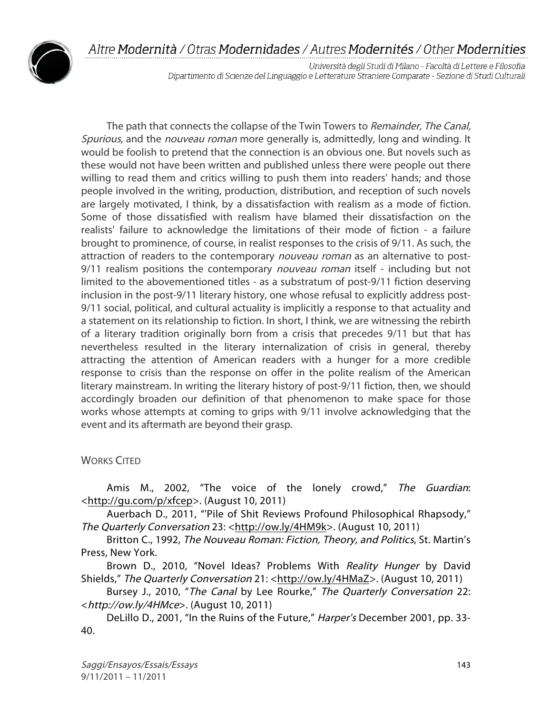

Università degli Studi di Milano - Facoltà di Lettere e Filosofia Dipartimento di Scienze del Linguaggio e Letterature Straniere Comparate - Sezione di Studi Culturali

The path that connects the collapse of the Twin Towers to *Remainder, The Canal,* Spurious, and the *nouveau roman* more generally is, admittedly, long and winding. It would be foolish to pretend that the connection is an obvious one. But novels such as these would not have been written and published unless there were people out there willing to read them and critics willing to push them into readers' hands; and those people involved in the writing, production, distribution, and reception of such novels are largely motivated, I think, by a dissatisfaction with realism as a mode of fiction. Some of those dissatisfied with realism have blamed their dissatisfaction on the realists' failure to acknowledge the limitations of their mode of fiction - a failure brought to prominence, of course, in realist responses to the crisis of 9/11. As such, the attraction of readers to the contemporary *nouveau roman* as an alternative to post-9/11 realism positions the contemporary *nouveau roman* itself - including but not limited to the abovementioned titles - as a substratum of post-9/11 fiction deserving inclusion in the post-9/11 literary history, one whose refusal to explicitly address post-9/11 social, political, and cultural actuality is implicitly a response to that actuality and a statement on its relationship to fiction. In short, I think, we are witnessing the rebirth of a literary tradition originally born from a crisis that precedes 9/11 but that has nevertheless resulted in the literary internalization of crisis in general, thereby attracting the attention of American readers with a hunger for a more credible response to crisis than the response on offer in the polite realism of the American literary mainstream. In writing the literary history of post-9/11 fiction, then, we should accordingly broaden our definition of that phenomenon to make space for those works whose attempts at coming to grips with 9/11 involve acknowledging that the event and its aftermath are beyond their grasp.

## WORKS CITED

Amis M., 2002, "The voice of the lonely crowd," The Guardian: <http://gu.com/p/xfcep>. (August 10, 2011)

Auerbach D., 2011, "'Pile of Shit Reviews Profound Philosophical Rhapsody," The Quarterly Conversation 23: <http://ow.ly/4HM9k>. (August 10, 2011)

Britton C., 1992, The Nouveau Roman: Fiction, Theory, and Politics, St. Martin's Press, New York.

Brown D., 2010, "Novel Ideas? Problems With Reality Hunger by David Shields," The Quarterly Conversation 21: <http://ow.ly/4HMaZ>. (August 10, 2011)

Bursey J., 2010, "The Canal by Lee Rourke," The Quarterly Conversation 22: <http://ow.ly/4HMce>. (August 10, 2011)

DeLillo D., 2001, "In the Ruins of the Future," Harper's December 2001, pp. 33-40.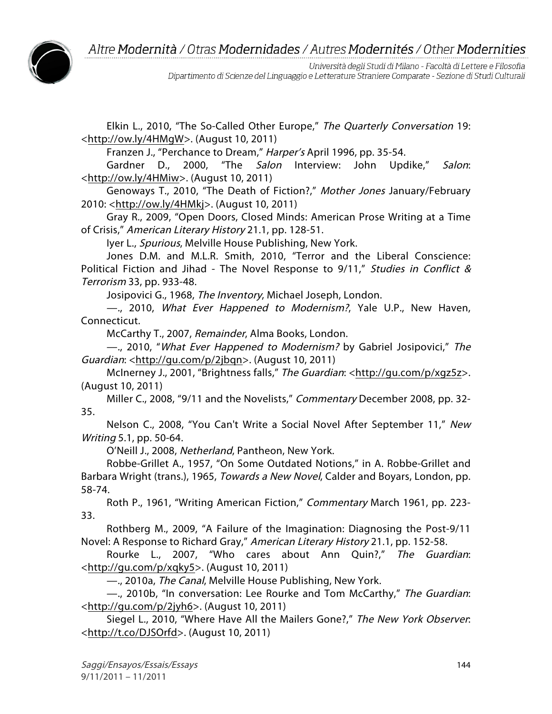

Università degli Studi di Milano - Facoltà di Lettere e Filosofia Dipartimento di Scienze del Linguaggio e Letterature Straniere Comparate - Sezione di Studi Culturali

Elkin L., 2010, "The So-Called Other Europe," The Quarterly Conversation 19: <http://ow.ly/4HMgW>. (August 10, 2011)

Franzen J., "Perchance to Dream," Harper's April 1996, pp. 35-54.

Gardner D., 2000, "The *Salon* Interview: John Updike," Salon: <http://ow.ly/4HMiw>. (August 10, 2011)

Genoways T., 2010, "The Death of Fiction?," Mother Jones January/February 2010: <http://ow.ly/4HMkj>. (August 10, 2011)

Gray R., 2009, "Open Doors, Closed Minds: American Prose Writing at a Time of Crisis," American Literary History 21.1, pp. 128-51.

Iyer L., Spurious, Melville House Publishing, New York.

Jones D.M. and M.L.R. Smith, 2010, "Terror and the Liberal Conscience: Political Fiction and Jihad - The Novel Response to 9/11," Studies in Conflict & Terrorism 33, pp. 933-48.

Josipovici G., 1968, The Inventory, Michael Joseph, London.

—., 2010, What Ever Happened to Modernism?, Yale U.P., New Haven, Connecticut.

McCarthy T., 2007, Remainder, Alma Books, London.

—., 2010, "What Ever Happened to Modernism? by Gabriel Josipovici," The Guardian: <http://gu.com/p/2jbqn>. (August 10, 2011)

McInerney J., 2001, "Brightness falls," The Guardian: <http://gu.com/p/xgz5z>. (August 10, 2011)

Miller C., 2008, "9/11 and the Novelists," Commentary December 2008, pp. 32-35.

Nelson C., 2008, "You Can't Write a Social Novel After September 11," New Writing 5.1, pp. 50-64.

O'Neill J., 2008, Netherland, Pantheon, New York.

Robbe-Grillet A., 1957, "On Some Outdated Notions," in A. Robbe-Grillet and Barbara Wright (trans.), 1965, *Towards a New Novel*, Calder and Boyars, London, pp. 58-74.

Roth P., 1961, "Writing American Fiction," Commentary March 1961, pp. 223- 33.

Rothberg M., 2009, "A Failure of the Imagination: Diagnosing the Post-9/11 Novel: A Response to Richard Gray," American Literary History 21.1, pp. 152-58.

Rourke L., 2007, "Who cares about Ann Quin?," The Guardian: <http://gu.com/p/xqky5>. (August 10, 2011)

—., 2010a, The Canal, Melville House Publishing, New York.

 $-$ , 2010b, "In conversation: Lee Rourke and Tom McCarthy," The Guardian: <http://gu.com/p/2jyh6>. (August 10, 2011)

Siegel L., 2010, "Where Have All the Mailers Gone?," The New York Observer: <http://t.co/DJSOrfd>. (August 10, 2011)